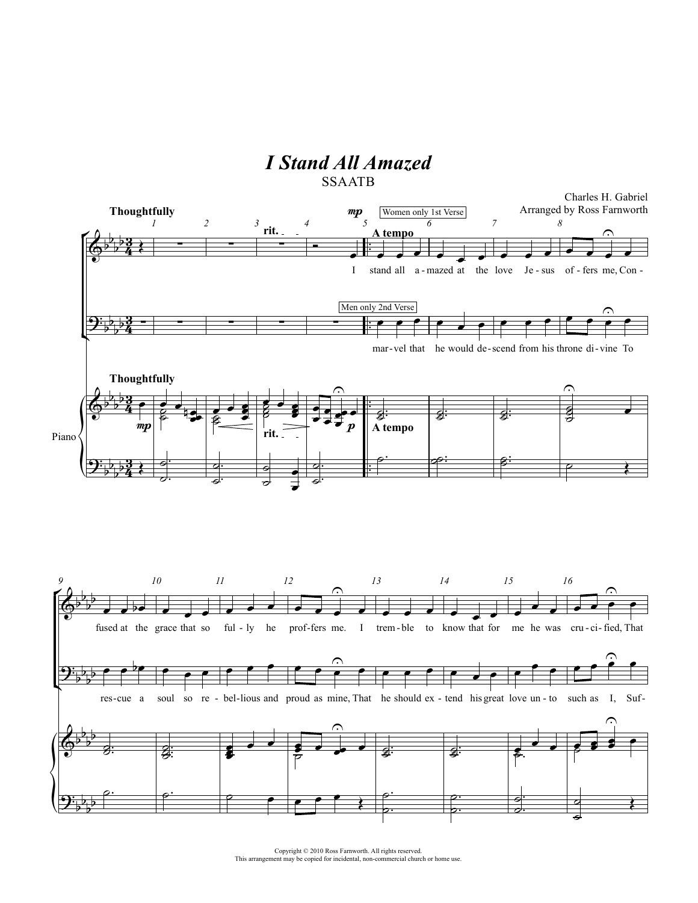## *I Stand All Amazed*



Copyright © 2010 Ross Farnworth. All rights reserved. This arrangement may be copied for incidental, non-commercial church or home use.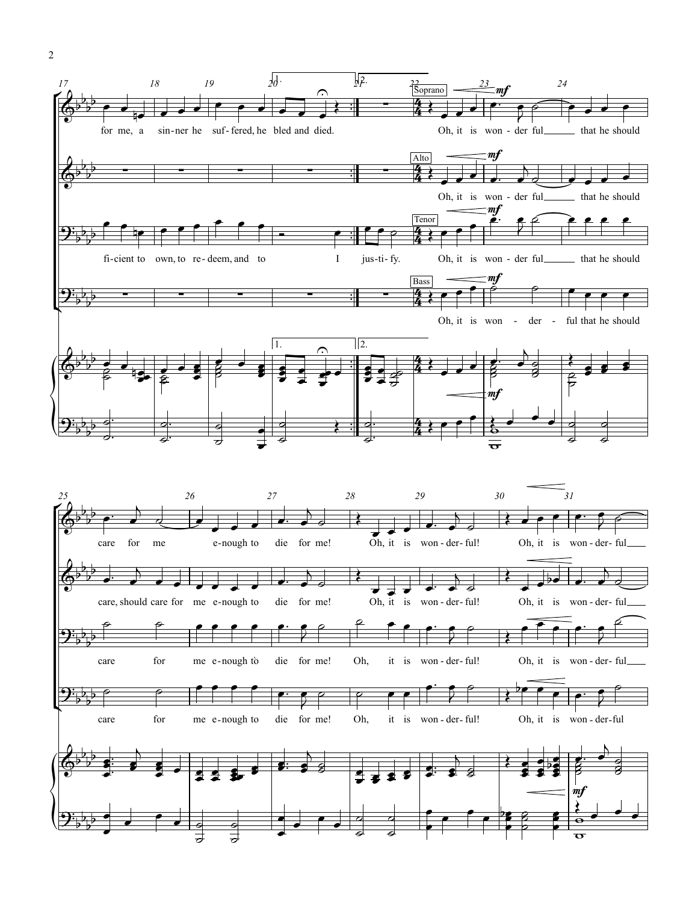

2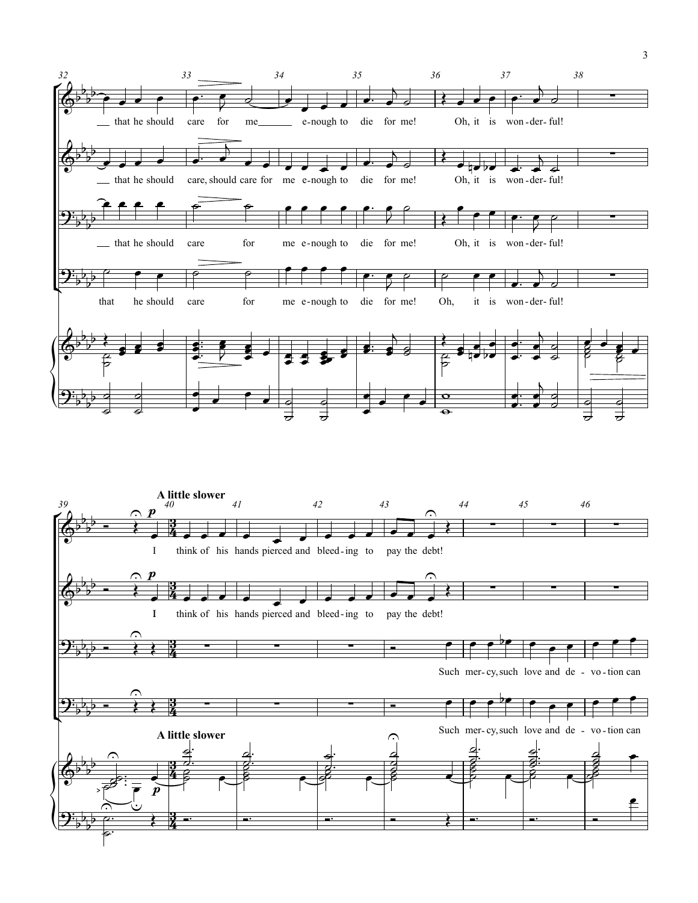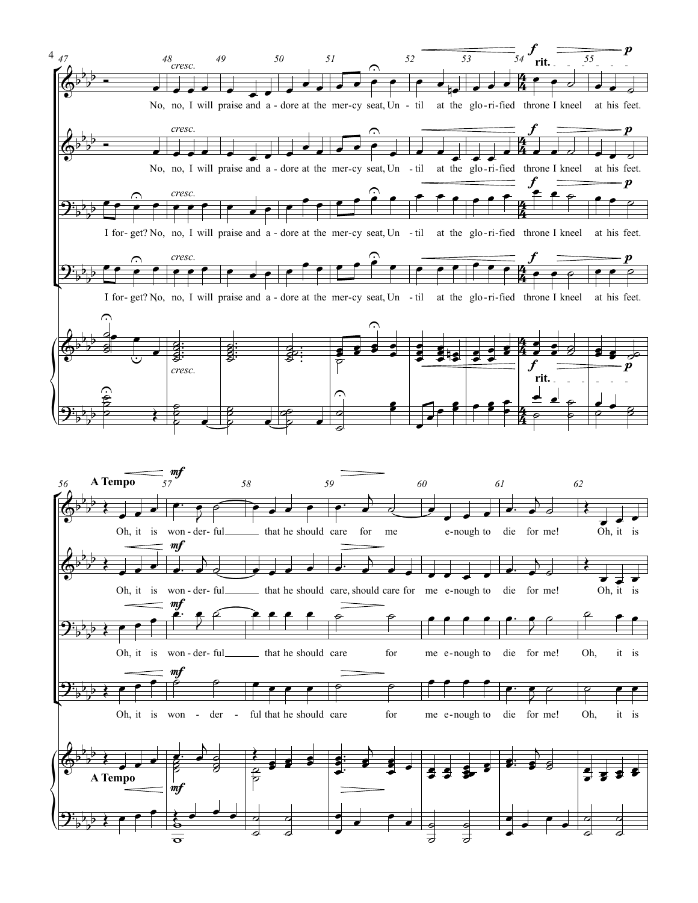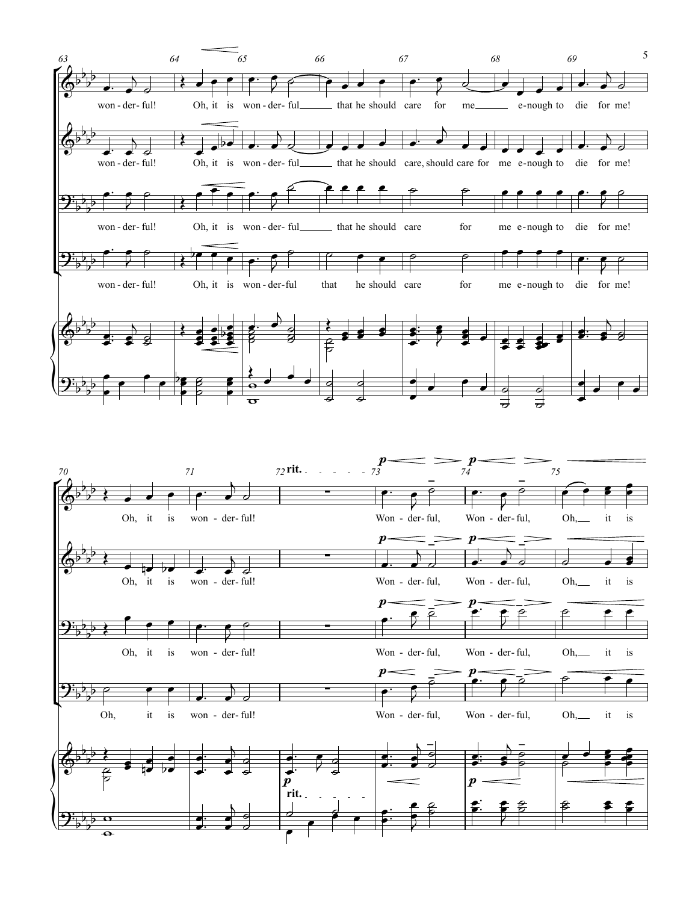